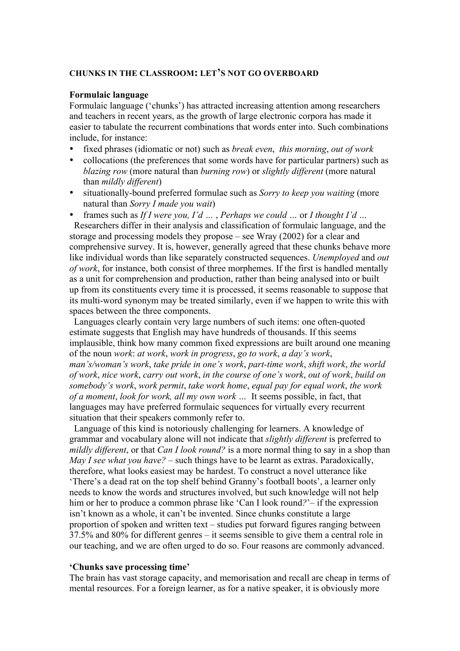## **CHUNKS IN THE CLASSROOM: LET'S NOT GO OVERBOARD**

#### **Formulaic language**

Formulaic language ('chunks') has attracted increasing attention among researchers and teachers in recent years, as the growth of large electronic corpora has made it easier to tabulate the recurrent combinations that words enter into. Such combinations include, for instance:

- fixed phrases (idiomatic or not) such as *break even*, *this morning*, *out of work*
- collocations (the preferences that some words have for particular partners) such as *blazing row* (more natural than *burning row*) or *slightly different* (more natural than *mildly different*)
- situationally-bound preferred formulae such as *Sorry to keep you waiting* (more natural than *Sorry I made you wait*)
- frames such as *If I were you, I'd …* , *Perhaps we could …* or *I thought I'd …*

 Researchers differ in their analysis and classification of formulaic language, and the storage and processing models they propose – see Wray (2002) for a clear and comprehensive survey. It is, however, generally agreed that these chunks behave more like individual words than like separately constructed sequences. *Unemployed* and *out of work*, for instance, both consist of three morphemes. If the first is handled mentally as a unit for comprehension and production, rather than being analysed into or built up from its constituents every time it is processed, it seems reasonable to suppose that its multi-word synonym may be treated similarly, even if we happen to write this with spaces between the three components.

 Languages clearly contain very large numbers of such items: one often-quoted estimate suggests that English may have hundreds of thousands. If this seems implausible, think how many common fixed expressions are built around one meaning of the noun *work*: *at work*, *work in progress*, *go to work*, *a day's work*, *man's/woman's work*, *take pride in one's work*, *part-time work*, *shift work*, *the world of work*, *nice work*, *carry out work*, *in the course of one's work*, *out of work*, *build on somebody's work*, *work permit*, *take work home*, *equal pay for equal work*, *the work of a moment*, *look for work, all my own work …* It seems possible, in fact, that languages may have preferred formulaic sequences for virtually every recurrent situation that their speakers commonly refer to.

 Language of this kind is notoriously challenging for learners. A knowledge of grammar and vocabulary alone will not indicate that *slightly different* is preferred to *mildly different*, or that *Can I look round?* is a more normal thing to say in a shop than *May I see what you have?* – such things have to be learnt as extras. Paradoxically, therefore, what looks easiest may be hardest. To construct a novel utterance like 'There's a dead rat on the top shelf behind Granny's football boots', a learner only needs to know the words and structures involved, but such knowledge will not help him or her to produce a common phrase like 'Can I look round*?*'– if the expression isn't known as a whole, it can't be invented. Since chunks constitute a large proportion of spoken and written text – studies put forward figures ranging between 37.5% and 80% for different genres – it seems sensible to give them a central role in our teaching, and we are often urged to do so. Four reasons are commonly advanced.

#### **'Chunks save processing time'**

The brain has vast storage capacity, and memorisation and recall are cheap in terms of mental resources. For a foreign learner, as for a native speaker, it is obviously more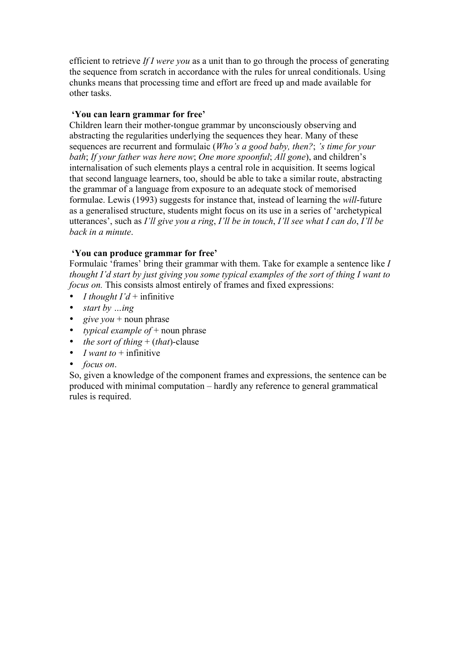efficient to retrieve *If I were you* as a unit than to go through the process of generating the sequence from scratch in accordance with the rules for unreal conditionals. Using chunks means that processing time and effort are freed up and made available for other tasks.

# **'You can learn grammar for free'**

Children learn their mother-tongue grammar by unconsciously observing and abstracting the regularities underlying the sequences they hear. Many of these sequences are recurrent and formulaic (*Who's a good baby, then?*; *'s time for your bath*; *If your father was here now*; *One more spoonful*; *All gone*), and children's internalisation of such elements plays a central role in acquisition. It seems logical that second language learners, too, should be able to take a similar route, abstracting the grammar of a language from exposure to an adequate stock of memorised formulae. Lewis (1993) suggests for instance that, instead of learning the *will*-future as a generalised structure, students might focus on its use in a series of 'archetypical utterances', such as *I'll give you a ring*, *I'll be in touch*, *I'll see what I can do*, *I'll be back in a minute*.

## **'You can produce grammar for free'**

Formulaic 'frames' bring their grammar with them. Take for example a sentence like *I thought I'd start by just giving you some typical examples of the sort of thing I want to focus on.* This consists almost entirely of frames and fixed expressions:

- *I thought I'd* + infinitive
- *start by …ing*
- $give you + noun phrase$
- *typical example of* + noun phrase
- *the sort of thing* + (*that*)-clause
- *I want to*  $+$  infinitive
- *focus on*.

So, given a knowledge of the component frames and expressions, the sentence can be produced with minimal computation – hardly any reference to general grammatical rules is required.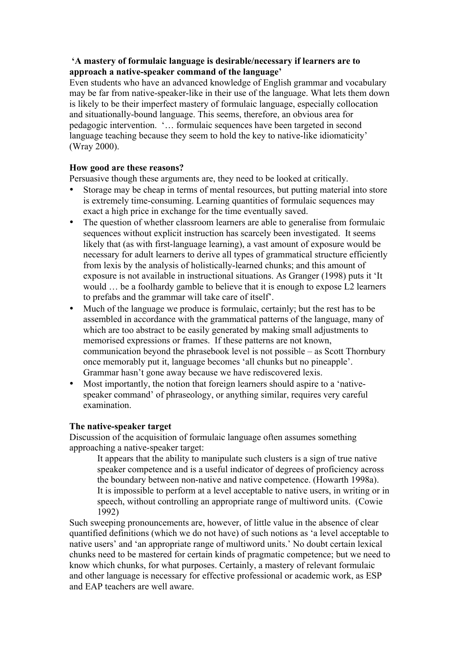# **'A mastery of formulaic language is desirable/necessary if learners are to approach a native-speaker command of the language'**

Even students who have an advanced knowledge of English grammar and vocabulary may be far from native-speaker-like in their use of the language. What lets them down is likely to be their imperfect mastery of formulaic language, especially collocation and situationally-bound language. This seems, therefore, an obvious area for pedagogic intervention. '… formulaic sequences have been targeted in second language teaching because they seem to hold the key to native-like idiomaticity' (Wray 2000).

# **How good are these reasons?**

Persuasive though these arguments are, they need to be looked at critically.

- Storage may be cheap in terms of mental resources, but putting material into store is extremely time-consuming. Learning quantities of formulaic sequences may exact a high price in exchange for the time eventually saved.
- The question of whether classroom learners are able to generalise from formulaic sequences without explicit instruction has scarcely been investigated. It seems likely that (as with first-language learning), a vast amount of exposure would be necessary for adult learners to derive all types of grammatical structure efficiently from lexis by the analysis of holistically-learned chunks; and this amount of exposure is not available in instructional situations. As Granger (1998) puts it 'It would … be a foolhardy gamble to believe that it is enough to expose L2 learners to prefabs and the grammar will take care of itself'.
- Much of the language we produce is formulaic, certainly; but the rest has to be assembled in accordance with the grammatical patterns of the language, many of which are too abstract to be easily generated by making small adjustments to memorised expressions or frames. If these patterns are not known, communication beyond the phrasebook level is not possible – as Scott Thornbury once memorably put it, language becomes 'all chunks but no pineapple'. Grammar hasn't gone away because we have rediscovered lexis.
- Most importantly, the notion that foreign learners should aspire to a 'nativespeaker command' of phraseology, or anything similar, requires very careful examination.

### **The native-speaker target**

Discussion of the acquisition of formulaic language often assumes something approaching a native-speaker target:

It appears that the ability to manipulate such clusters is a sign of true native speaker competence and is a useful indicator of degrees of proficiency across the boundary between non-native and native competence. (Howarth 1998a). It is impossible to perform at a level acceptable to native users, in writing or in speech, without controlling an appropriate range of multiword units. (Cowie 1992)

Such sweeping pronouncements are, however, of little value in the absence of clear quantified definitions (which we do not have) of such notions as 'a level acceptable to native users' and 'an appropriate range of multiword units.' No doubt certain lexical chunks need to be mastered for certain kinds of pragmatic competence; but we need to know which chunks, for what purposes. Certainly, a mastery of relevant formulaic and other language is necessary for effective professional or academic work, as ESP and EAP teachers are well aware.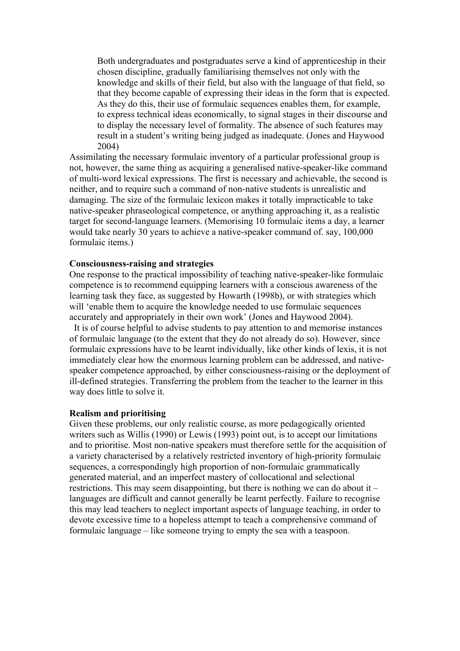Both undergraduates and postgraduates serve a kind of apprenticeship in their chosen discipline, gradually familiarising themselves not only with the knowledge and skills of their field, but also with the language of that field, so that they become capable of expressing their ideas in the form that is expected. As they do this, their use of formulaic sequences enables them, for example, to express technical ideas economically, to signal stages in their discourse and to display the necessary level of formality. The absence of such features may result in a student's writing being judged as inadequate. (Jones and Haywood 2004)

Assimilating the necessary formulaic inventory of a particular professional group is not, however, the same thing as acquiring a generalised native-speaker-like command of multi-word lexical expressions. The first is necessary and achievable, the second is neither, and to require such a command of non-native students is unrealistic and damaging. The size of the formulaic lexicon makes it totally impracticable to take native-speaker phraseological competence, or anything approaching it, as a realistic target for second-language learners. (Memorising 10 formulaic items a day, a learner would take nearly 30 years to achieve a native-speaker command of. say, 100,000 formulaic items.)

#### **Consciousness-raising and strategies**

One response to the practical impossibility of teaching native-speaker-like formulaic competence is to recommend equipping learners with a conscious awareness of the learning task they face, as suggested by Howarth (1998b), or with strategies which will 'enable them to acquire the knowledge needed to use formulaic sequences accurately and appropriately in their own work' (Jones and Haywood 2004).

 It is of course helpful to advise students to pay attention to and memorise instances of formulaic language (to the extent that they do not already do so). However, since formulaic expressions have to be learnt individually, like other kinds of lexis, it is not immediately clear how the enormous learning problem can be addressed, and nativespeaker competence approached, by either consciousness-raising or the deployment of ill-defined strategies. Transferring the problem from the teacher to the learner in this way does little to solve it.

#### **Realism and prioritising**

Given these problems, our only realistic course, as more pedagogically oriented writers such as Willis (1990) or Lewis (1993) point out, is to accept our limitations and to prioritise. Most non-native speakers must therefore settle for the acquisition of a variety characterised by a relatively restricted inventory of high-priority formulaic sequences, a correspondingly high proportion of non-formulaic grammatically generated material, and an imperfect mastery of collocational and selectional restrictions. This may seem disappointing, but there is nothing we can do about it – languages are difficult and cannot generally be learnt perfectly. Failure to recognise this may lead teachers to neglect important aspects of language teaching, in order to devote excessive time to a hopeless attempt to teach a comprehensive command of formulaic language – like someone trying to empty the sea with a teaspoon.